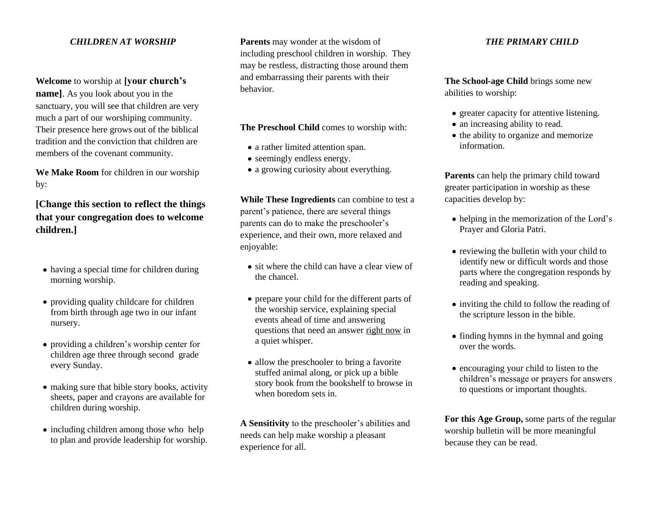## *CHILDREN AT WORSHIP*

**Welcome** to worship at **[your church's name]**. As you look about you in the sanctuary, you will see that children are very much a part of our worshiping community. Their presence here grows out of the biblical tradition and the conviction that children are members of the covenant community.

**We Make Room** for children in our worship by:

**[Change this section to reflect the things that your congregation does to welcome children.]**

- having a special time for children during morning worship.
- providing quality childcare for children from birth through age two in our infant nursery.
- providing a children's worship center for children age three through second grade every Sunday.
- making sure that bible story books, activity sheets, paper and crayons are available for children during worship.
- including children among those who help to plan and provide leadership for worship.

**Parents** may wonder at the wisdom of including preschool children in worship. They may be restless, distracting those around them and embarrassing their parents with their behavior.

**The Preschool Child** comes to worship with:

- a rather limited attention span.
- seemingly endless energy.
- a growing curiosity about everything.

**While These Ingredients** can combine to test a parent's patience, there are several things parents can do to make the preschooler's experience, and their own, more relaxed and enjoyable:

- sit where the child can have a clear view of the chancel.
- prepare your child for the different parts of the worship service, explaining special events ahead of time and answering questions that need an answer right now in a quiet whisper.
- allow the preschooler to bring a favorite stuffed animal along, or pick up a bible story book from the bookshelf to browse in when boredom sets in.

**A Sensitivity** to the preschooler's abilities and needs can help make worship a pleasant experience for all.

## *THE PRIMARY CHILD*

**The School-age Child** brings some new abilities to worship:

- greater capacity for attentive listening.
- an increasing ability to read.
- the ability to organize and memorize information.

**Parents** can help the primary child toward greater participation in worship as these capacities develop by:

- helping in the memorization of the Lord's Prayer and Gloria Patri.
- reviewing the bulletin with your child to identify new or difficult words and those parts where the congregation responds by reading and speaking.
- inviting the child to follow the reading of the scripture lesson in the bible.
- $\bullet$  finding hymns in the hymnal and going over the words.
- encouraging your child to listen to the children's message or prayers for answers to questions or important thoughts.

**For this Age Group,** some parts of the regular worship bulletin will be more meaningful because they can be read.